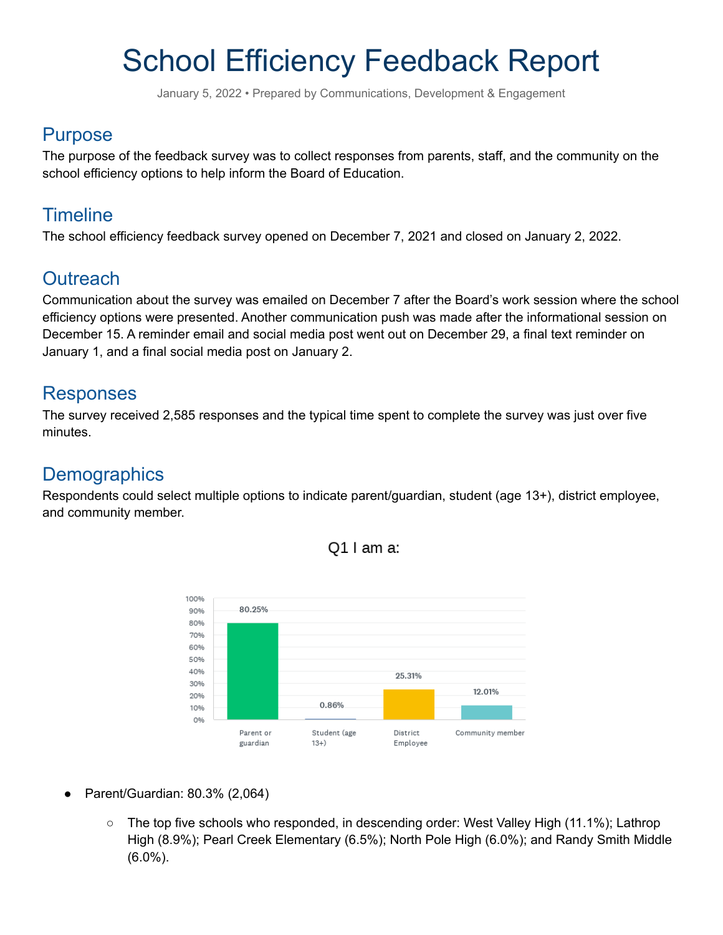# School Efficiency Feedback Report

January 5, 2022 • Prepared by Communications, Development & Engagement

### Purpose

The purpose of the feedback survey was to collect responses from parents, staff, and the community on the school efficiency options to help inform the Board of Education.

### **Timeline**

The school efficiency feedback survey opened on December 7, 2021 and closed on January 2, 2022.

### **Outreach**

Communication about the survey was emailed on December 7 after the Board's work session where the school efficiency options were presented. Another communication push was made after the informational session on December 15. A reminder email and social media post went out on December 29, a final text reminder on January 1, and a final social media post on January 2.

### Responses

The survey received 2,585 responses and the typical time spent to complete the survey was just over five minutes.

### **Demographics**

Respondents could select multiple options to indicate parent/guardian, student (age 13+), district employee, and community member.





- Parent/Guardian: 80.3% (2,064)
	- The top five schools who responded, in descending order: West Valley High (11.1%); Lathrop High (8.9%); Pearl Creek Elementary (6.5%); North Pole High (6.0%); and Randy Smith Middle (6.0%).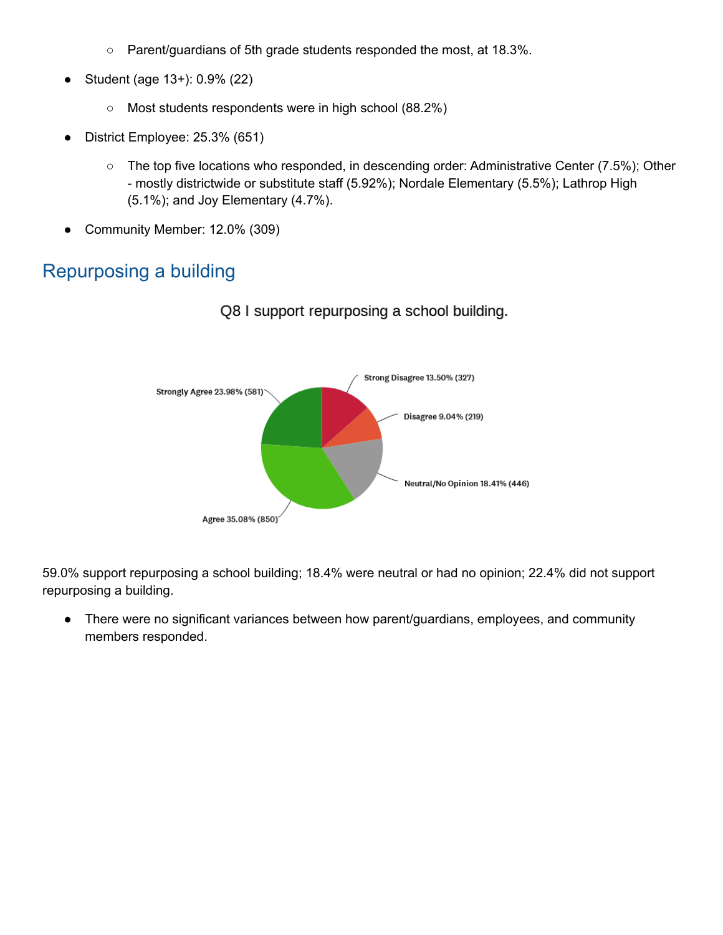- Parent/guardians of 5th grade students responded the most, at 18.3%.
- Student (age 13+): 0.9% (22)
	- Most students respondents were in high school (88.2%)
- District Employee: 25.3% (651)
	- The top five locations who responded, in descending order: Administrative Center (7.5%); Other - mostly districtwide or substitute staff (5.92%); Nordale Elementary (5.5%); Lathrop High (5.1%); and Joy Elementary (4.7%).
- Community Member: 12.0% (309)

### Repurposing a building



Q8 I support repurposing a school building.

59.0% support repurposing a school building; 18.4% were neutral or had no opinion; 22.4% did not support repurposing a building.

• There were no significant variances between how parent/guardians, employees, and community members responded.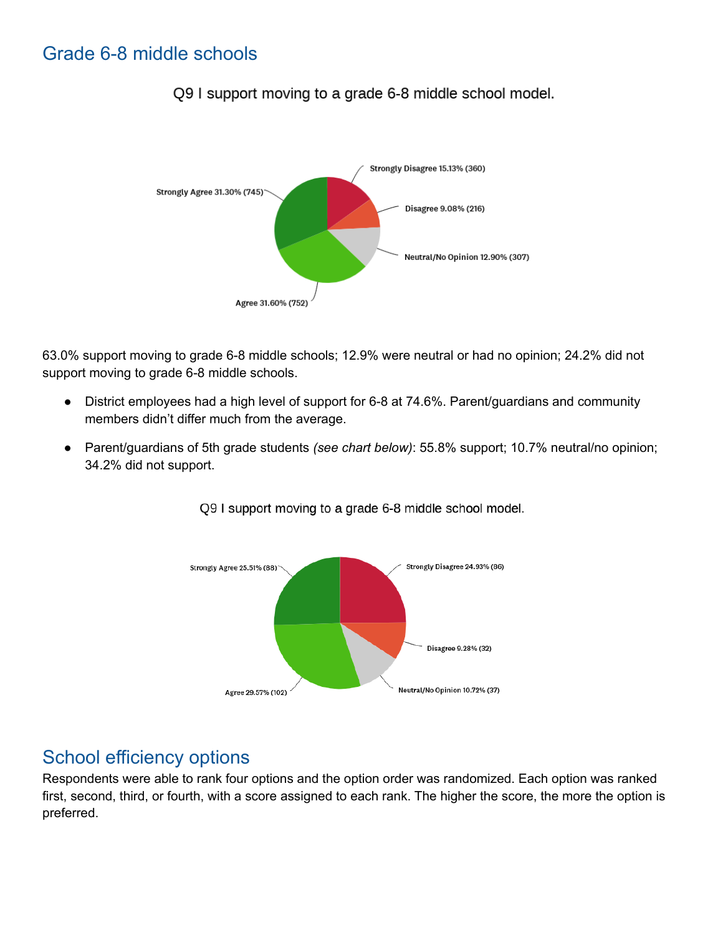### Grade 6-8 middle schools



Q9 I support moving to a grade 6-8 middle school model.

63.0% support moving to grade 6-8 middle schools; 12.9% were neutral or had no opinion; 24.2% did not support moving to grade 6-8 middle schools.

- District employees had a high level of support for 6-8 at 74.6%. Parent/guardians and community members didn't differ much from the average.
- Parent/guardians of 5th grade students *(see chart below)*: 55.8% support; 10.7% neutral/no opinion; 34.2% did not support.



Q9 I support moving to a grade 6-8 middle school model.

### School efficiency options

Respondents were able to rank four options and the option order was randomized. Each option was ranked first, second, third, or fourth, with a score assigned to each rank. The higher the score, the more the option is preferred.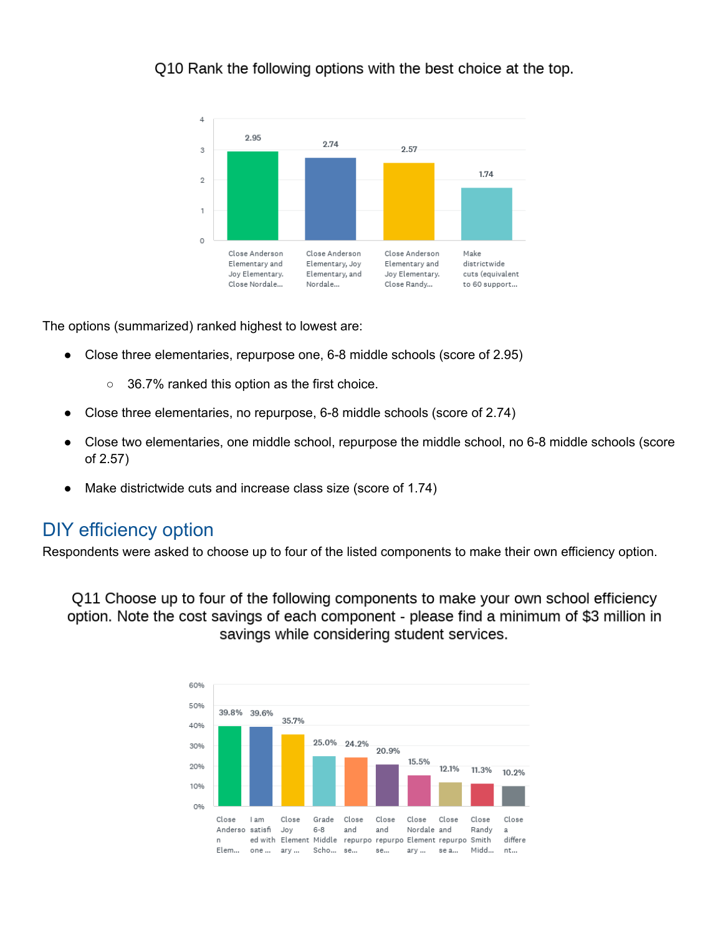Q10 Rank the following options with the best choice at the top.



The options (summarized) ranked highest to lowest are:

- Close three elementaries, repurpose one, 6-8 middle schools (score of 2.95)
	- 36.7% ranked this option as the first choice.
- Close three elementaries, no repurpose, 6-8 middle schools (score of 2.74)
- Close two elementaries, one middle school, repurpose the middle school, no 6-8 middle schools (score of 2.57)
- Make districtwide cuts and increase class size (score of 1.74)

### DIY efficiency option

Respondents were asked to choose up to four of the listed components to make their own efficiency option.

Q11 Choose up to four of the following components to make your own school efficiency option. Note the cost savings of each component - please find a minimum of \$3 million in savings while considering student services.

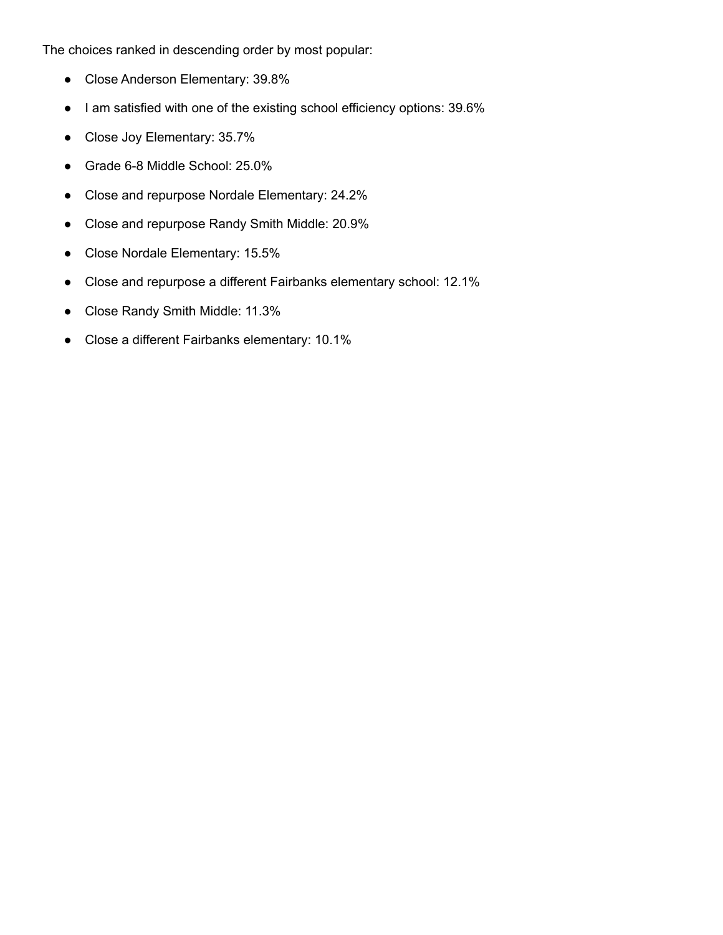The choices ranked in descending order by most popular:

- Close Anderson Elementary: 39.8%
- I am satisfied with one of the existing school efficiency options: 39.6%
- Close Joy Elementary: 35.7%
- Grade 6-8 Middle School: 25.0%
- Close and repurpose Nordale Elementary: 24.2%
- Close and repurpose Randy Smith Middle: 20.9%
- Close Nordale Elementary: 15.5%
- Close and repurpose a different Fairbanks elementary school: 12.1%
- Close Randy Smith Middle: 11.3%
- Close a different Fairbanks elementary: 10.1%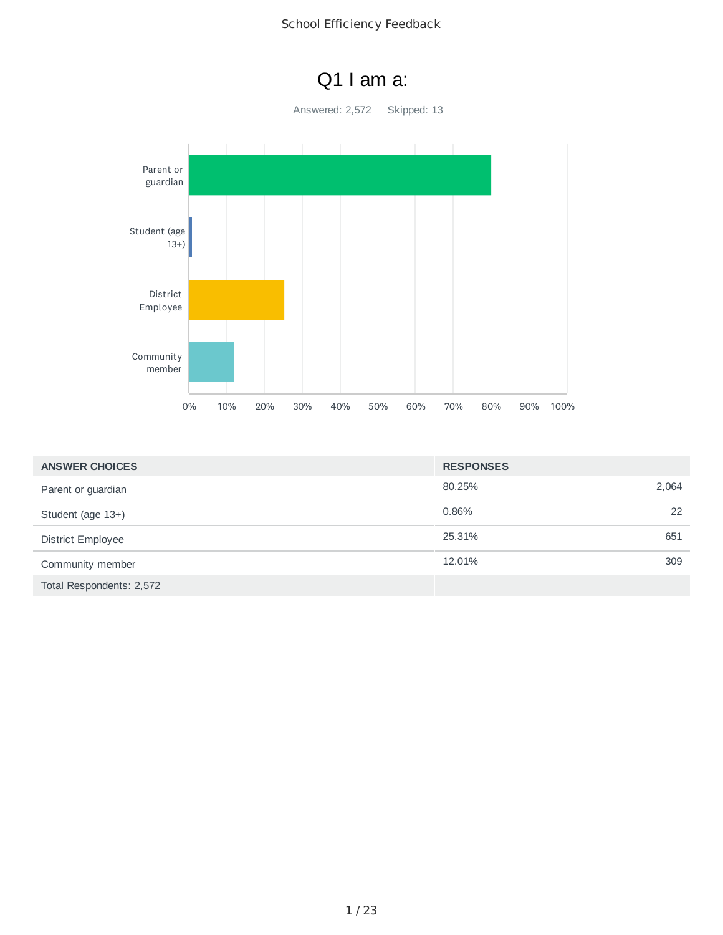### Q1 I am a:

Answered: 2,572 Skipped: 13



| <b>ANSWER CHOICES</b>    | <b>RESPONSES</b> |       |
|--------------------------|------------------|-------|
| Parent or guardian       | 80.25%           | 2,064 |
| Student (age 13+)        | 0.86%            | 22    |
| <b>District Employee</b> | 25.31%           | 651   |
| Community member         | 12.01%           | 309   |
| Total Respondents: 2,572 |                  |       |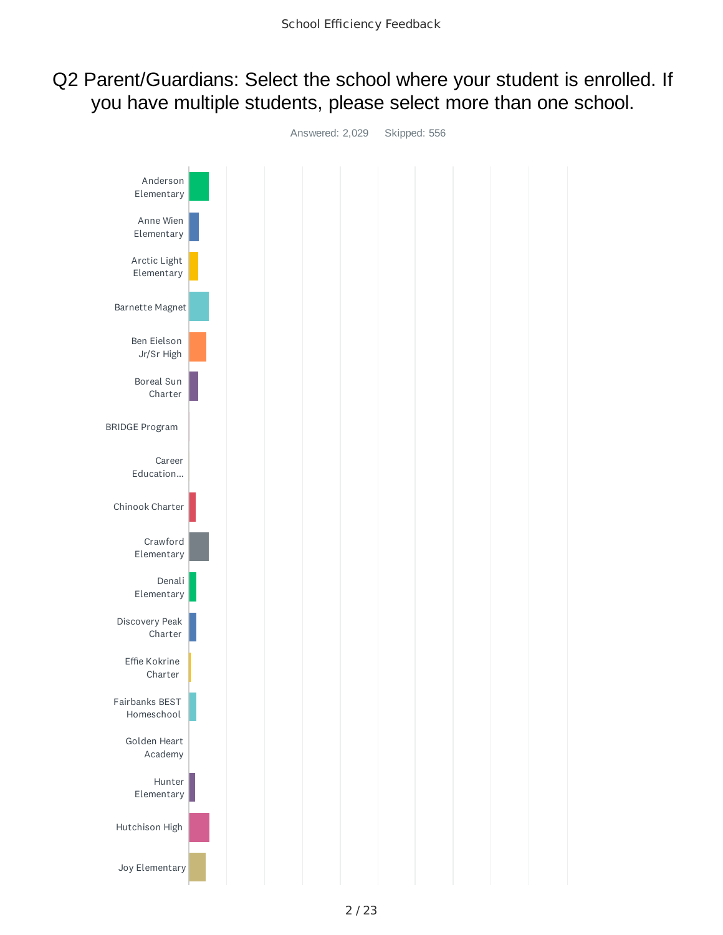### Q2 Parent/Guardians: Select the school where your student is enrolled. If you have multiple students, please select more than one school.

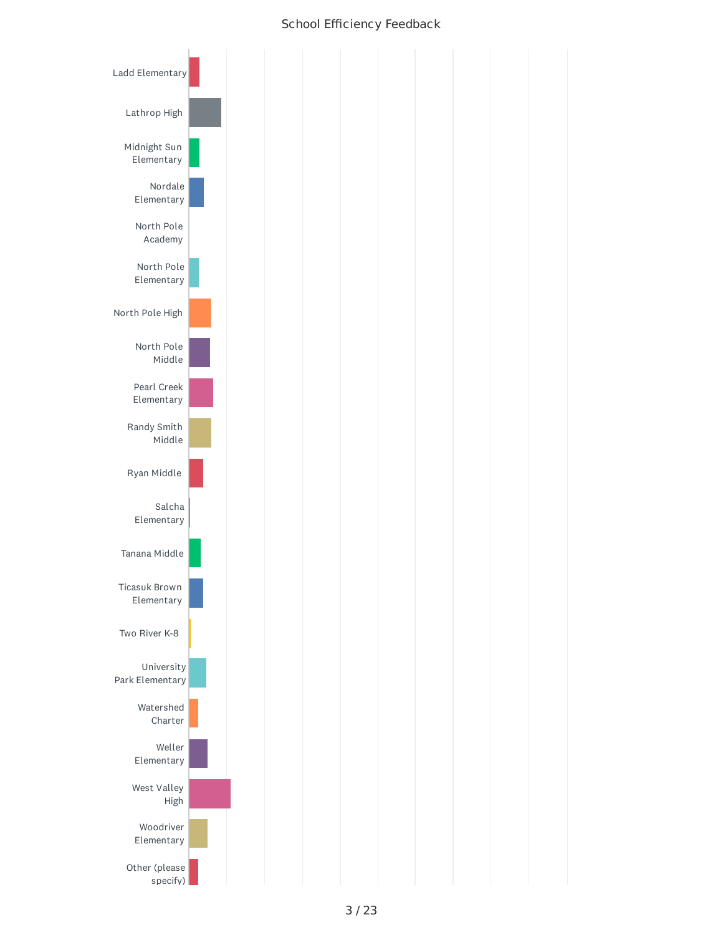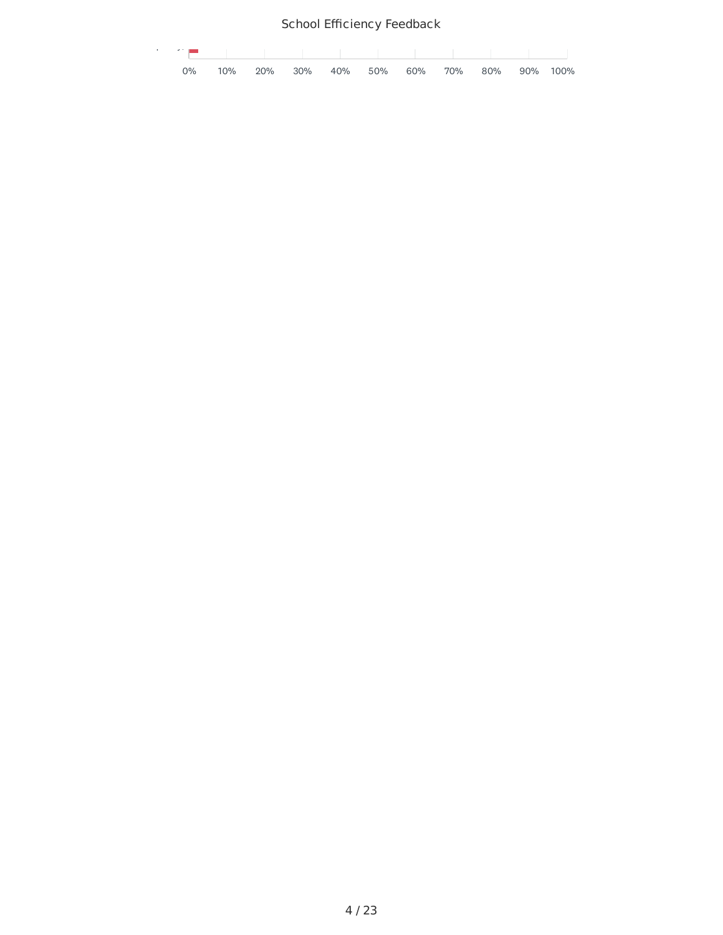| the control of the property of the |  |  |                                          |  |  |  |
|------------------------------------|--|--|------------------------------------------|--|--|--|
| 0%                                 |  |  | 10% 20% 30% 40% 50% 60% 70% 80% 90% 100% |  |  |  |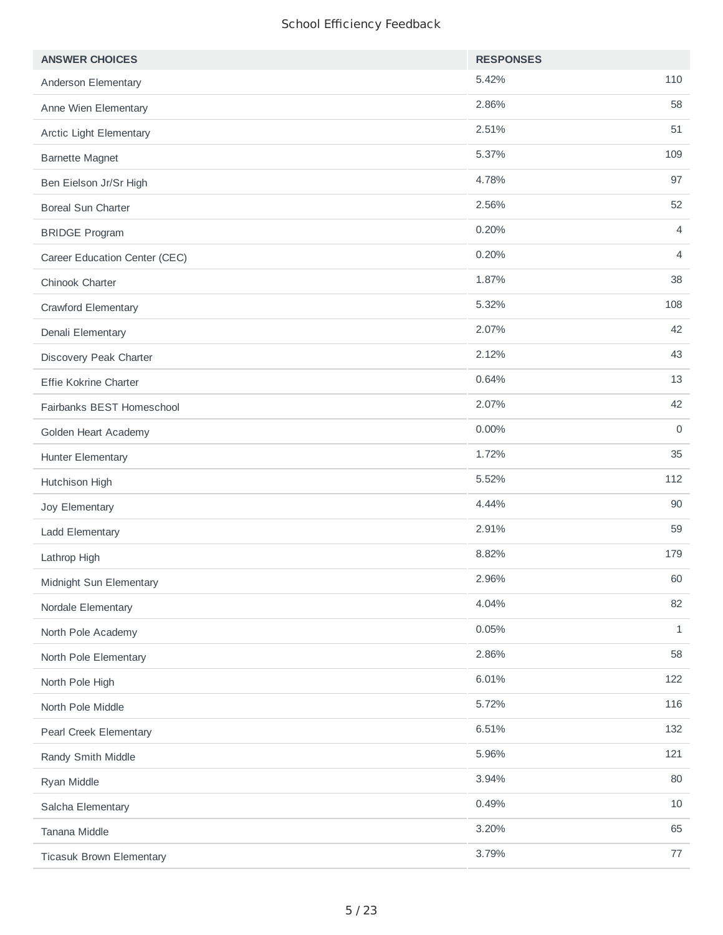| <b>ANSWER CHOICES</b>           | <b>RESPONSES</b> |              |
|---------------------------------|------------------|--------------|
| Anderson Elementary             | 5.42%            | 110          |
| Anne Wien Elementary            | 2.86%            | 58           |
| Arctic Light Elementary         | 2.51%            | 51           |
| <b>Barnette Magnet</b>          | 5.37%            | 109          |
| Ben Eielson Jr/Sr High          | 4.78%            | 97           |
| <b>Boreal Sun Charter</b>       | 2.56%            | 52           |
| <b>BRIDGE Program</b>           | 0.20%            | 4            |
| Career Education Center (CEC)   | 0.20%            | 4            |
| Chinook Charter                 | 1.87%            | 38           |
| Crawford Elementary             | 5.32%            | 108          |
| Denali Elementary               | 2.07%            | 42           |
| Discovery Peak Charter          | 2.12%            | 43           |
| Effie Kokrine Charter           | 0.64%            | 13           |
| Fairbanks BEST Homeschool       | 2.07%            | 42           |
| Golden Heart Academy            | 0.00%            | $\mathbf 0$  |
| Hunter Elementary               | 1.72%            | 35           |
| Hutchison High                  | 5.52%            | 112          |
| Joy Elementary                  | 4.44%            | 90           |
| Ladd Elementary                 | 2.91%            | 59           |
| Lathrop High                    | 8.82%            | 179          |
| Midnight Sun Elementary         | 2.96%            | 60           |
| Nordale Elementary              | 4.04%            | 82           |
| North Pole Academy              | 0.05%            | $\mathbf{1}$ |
| North Pole Elementary           | 2.86%            | 58           |
| North Pole High                 | 6.01%            | 122          |
| North Pole Middle               | 5.72%            | 116          |
| Pearl Creek Elementary          | 6.51%            | 132          |
| Randy Smith Middle              | 5.96%            | 121          |
| Ryan Middle                     | 3.94%            | 80           |
| Salcha Elementary               | 0.49%            | 10           |
| Tanana Middle                   | 3.20%            | 65           |
| <b>Ticasuk Brown Elementary</b> | 3.79%            | 77           |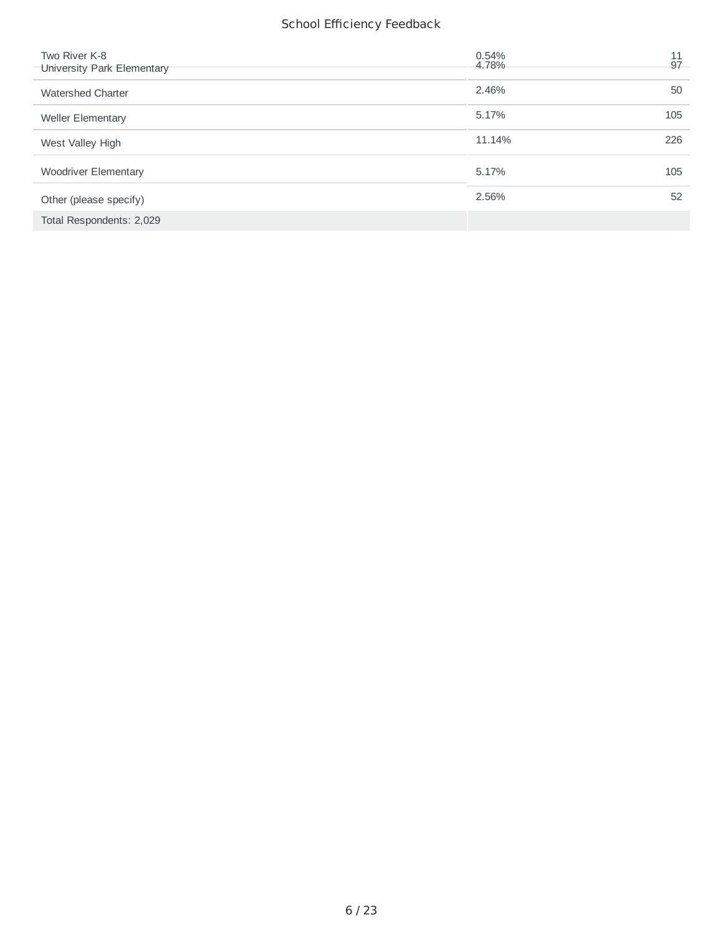| Two River K-8<br>University Park Elementary | 0.54%<br>4.78% | 11<br>97 |
|---------------------------------------------|----------------|----------|
| <b>Watershed Charter</b>                    | 2.46%          | 50       |
| <b>Weller Elementary</b>                    | 5.17%          | 105      |
| West Valley High                            | 11.14%         | 226      |
| <b>Woodriver Elementary</b>                 | 5.17%          | 105      |
| Other (please specify)                      | 2.56%          | 52       |
| Total Respondents: 2,029                    |                |          |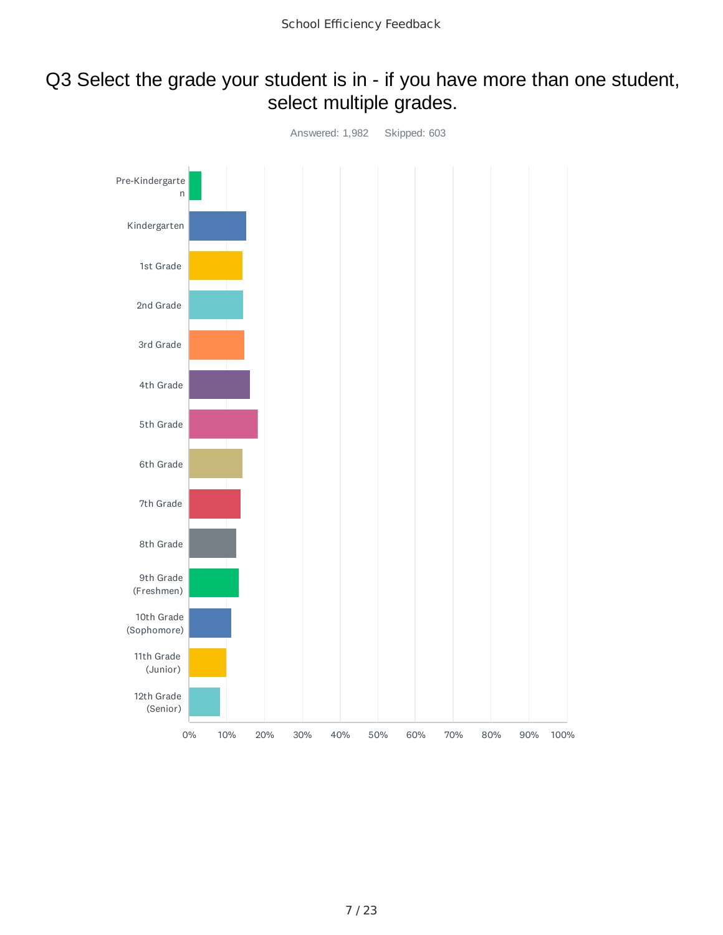### Q3 Select the grade your student is in - if you have more than one student, select multiple grades.

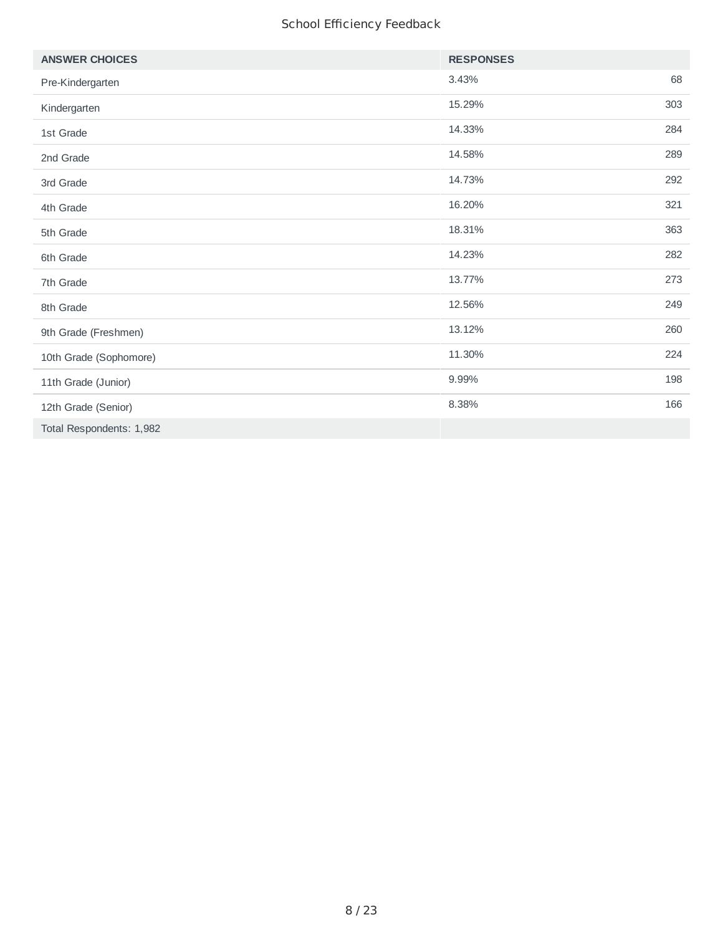| <b>ANSWER CHOICES</b>    | <b>RESPONSES</b> |     |
|--------------------------|------------------|-----|
| Pre-Kindergarten         | 3.43%            | 68  |
| Kindergarten             | 15.29%           | 303 |
| 1st Grade                | 14.33%           | 284 |
| 2nd Grade                | 14.58%           | 289 |
| 3rd Grade                | 14.73%           | 292 |
| 4th Grade                | 16.20%           | 321 |
| 5th Grade                | 18.31%           | 363 |
| 6th Grade                | 14.23%           | 282 |
| 7th Grade                | 13.77%           | 273 |
| 8th Grade                | 12.56%           | 249 |
| 9th Grade (Freshmen)     | 13.12%           | 260 |
| 10th Grade (Sophomore)   | 11.30%           | 224 |
| 11th Grade (Junior)      | 9.99%            | 198 |
| 12th Grade (Senior)      | 8.38%            | 166 |
| Total Respondents: 1,982 |                  |     |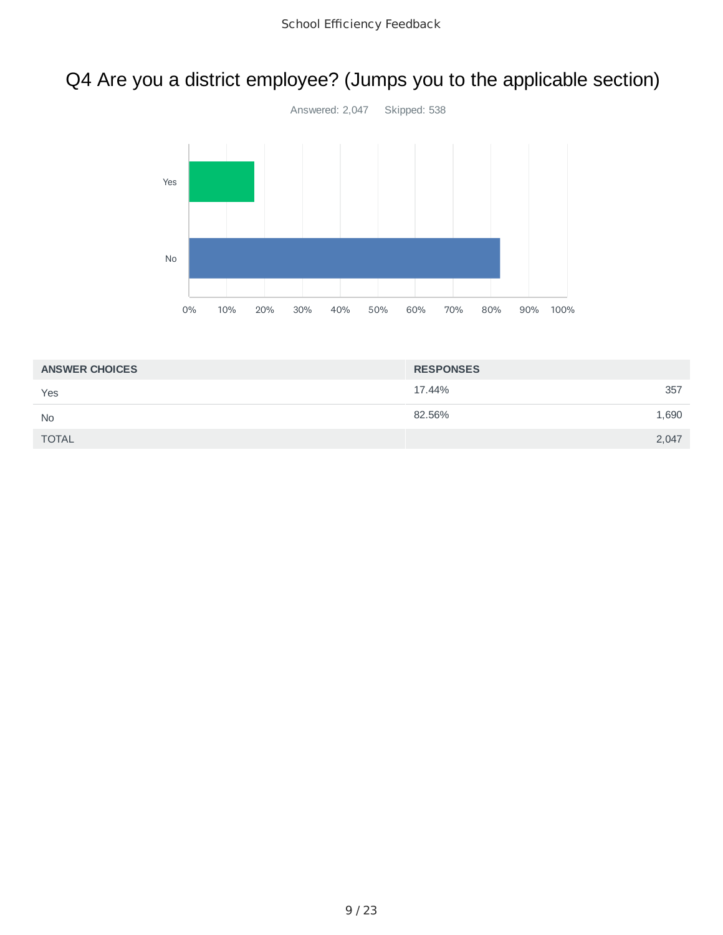# Q4 Are you a district employee? (Jumps you to the applicable section)



| <b>ANSWER CHOICES</b> | <b>RESPONSES</b> |
|-----------------------|------------------|
| Yes                   | 17.44%<br>357    |
| <b>No</b>             | 82.56%<br>1,690  |
| <b>TOTAL</b>          | 2,047            |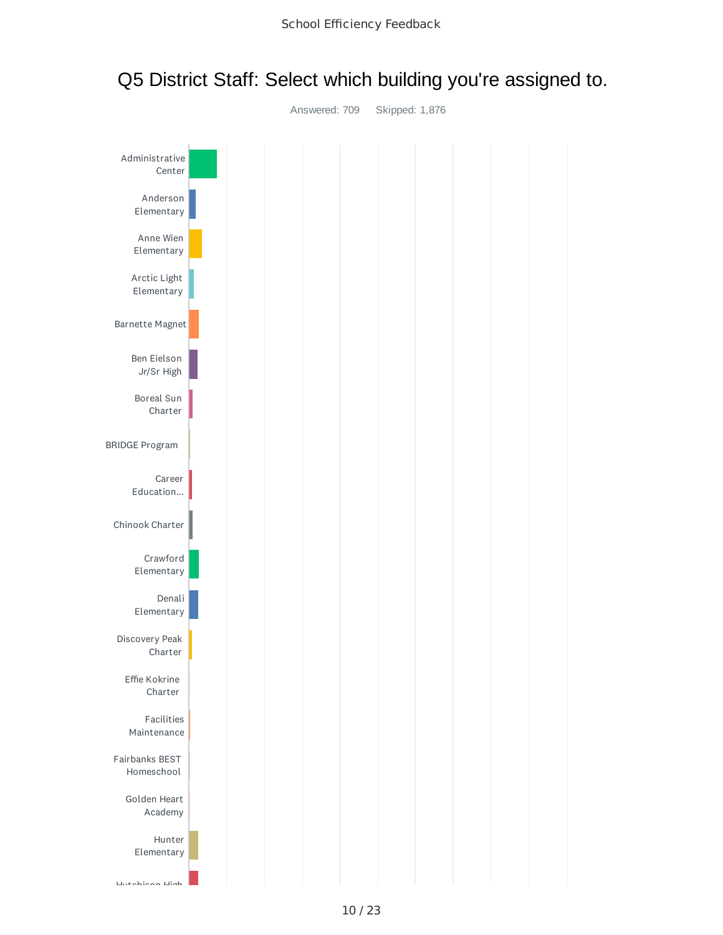

### Q5 District Staff: Select which building you're assigned to.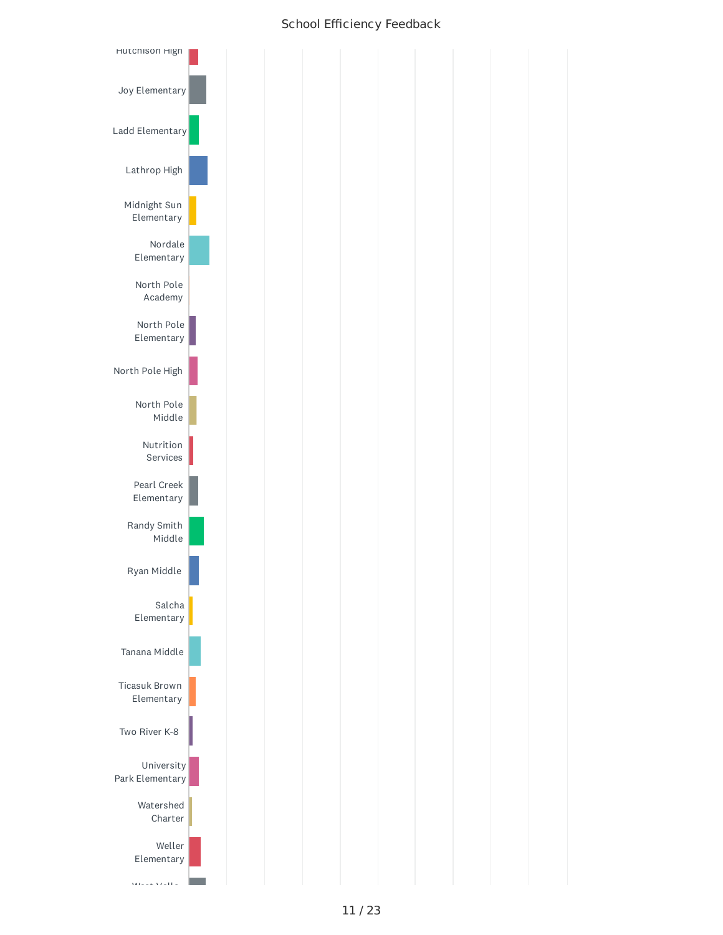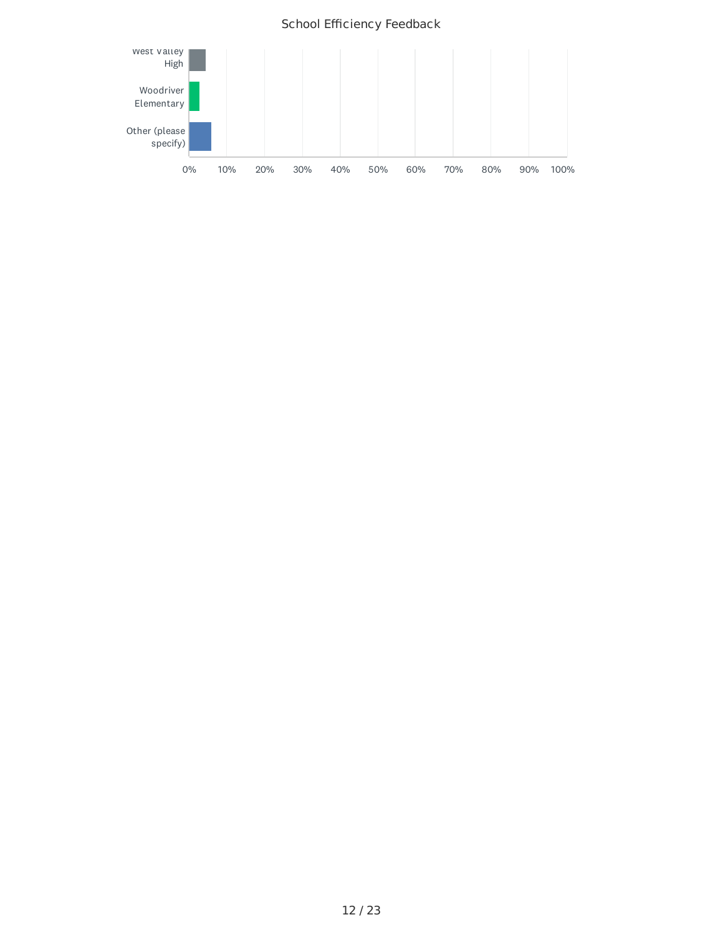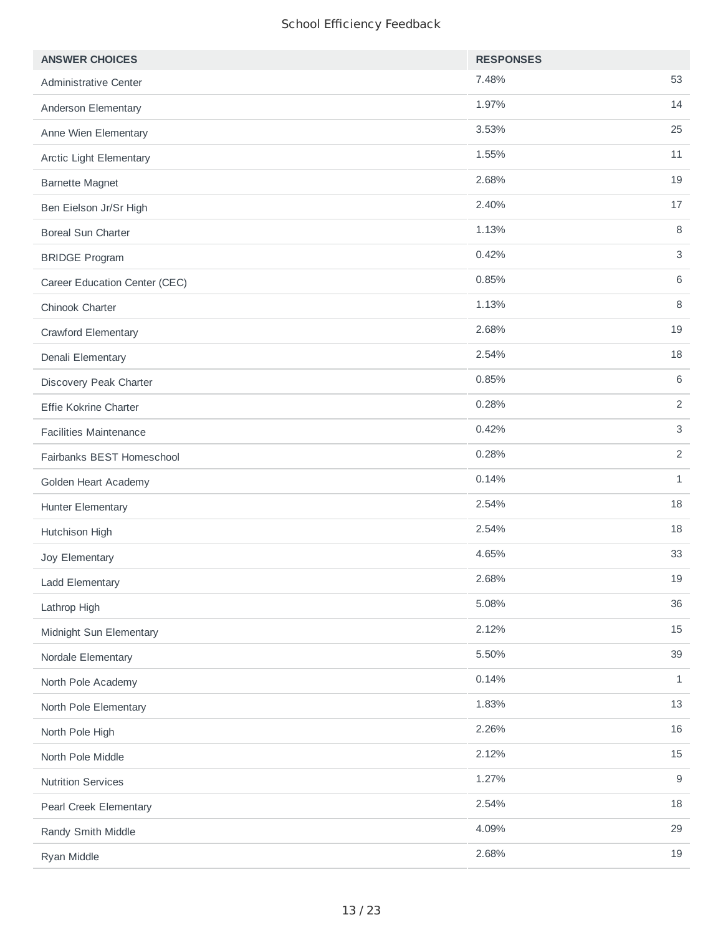| <b>ANSWER CHOICES</b>         | <b>RESPONSES</b> |                |
|-------------------------------|------------------|----------------|
| Administrative Center         | 7.48%            | 53             |
| Anderson Elementary           | 1.97%            | 14             |
| Anne Wien Elementary          | 3.53%            | 25             |
| Arctic Light Elementary       | 1.55%            | 11             |
| <b>Barnette Magnet</b>        | 2.68%            | 19             |
| Ben Eielson Jr/Sr High        | 2.40%            | 17             |
| <b>Boreal Sun Charter</b>     | 1.13%            | 8              |
| <b>BRIDGE Program</b>         | 0.42%            | 3              |
| Career Education Center (CEC) | 0.85%            | 6              |
| Chinook Charter               | 1.13%            | 8              |
| Crawford Elementary           | 2.68%            | 19             |
| Denali Elementary             | 2.54%            | 18             |
| Discovery Peak Charter        | 0.85%            | 6              |
| Effie Kokrine Charter         | 0.28%            | $\overline{c}$ |
| <b>Facilities Maintenance</b> | 0.42%            | 3              |
| Fairbanks BEST Homeschool     | 0.28%            | $\overline{2}$ |
| Golden Heart Academy          | 0.14%            | $\mathbf{1}$   |
| <b>Hunter Elementary</b>      | 2.54%            | 18             |
| Hutchison High                | 2.54%            | 18             |
| Joy Elementary                | 4.65%            | 33             |
| Ladd Elementary               | 2.68%            | 19             |
| Lathrop High                  | 5.08%            | 36             |
| Midnight Sun Elementary       | 2.12%            | 15             |
| Nordale Elementary            | 5.50%            | 39             |
| North Pole Academy            | 0.14%            | $\mathbf{1}$   |
| North Pole Elementary         | 1.83%            | 13             |
| North Pole High               | 2.26%            | 16             |
| North Pole Middle             | 2.12%            | 15             |
| <b>Nutrition Services</b>     | 1.27%            | 9              |
| Pearl Creek Elementary        | 2.54%            | 18             |
| Randy Smith Middle            | 4.09%            | 29             |
| Ryan Middle                   | 2.68%            | 19             |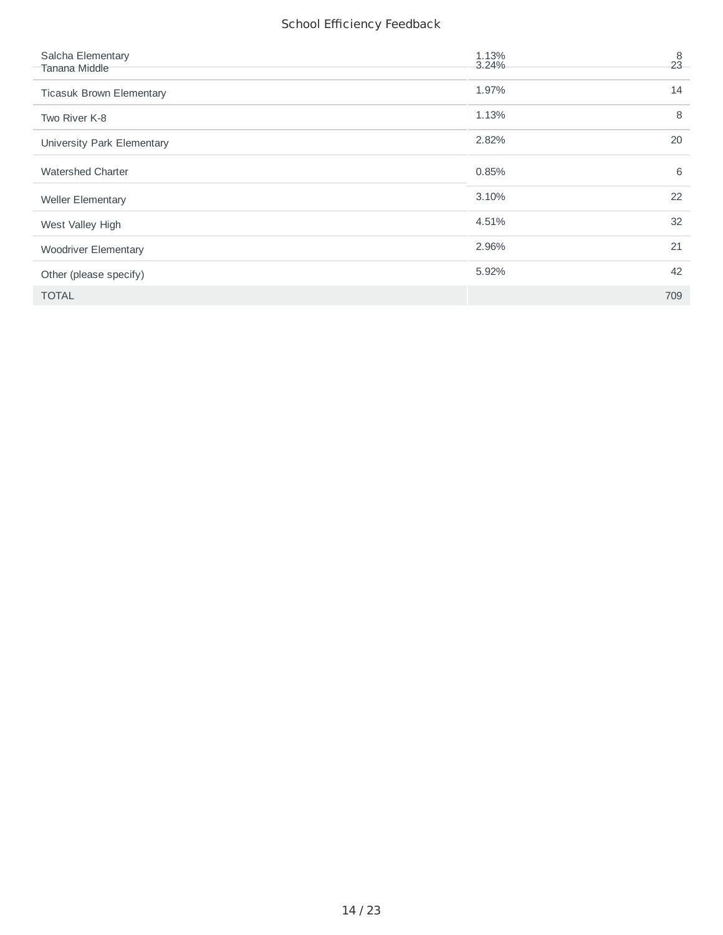| Salcha Elementary<br>Tanana Middle | 1.13%<br>3.24% | 8<br>23 |
|------------------------------------|----------------|---------|
| <b>Ticasuk Brown Elementary</b>    | 1.97%          | 14      |
| Two River K-8                      | 1.13%          | 8       |
| University Park Elementary         | 2.82%          | 20      |
| <b>Watershed Charter</b>           | 0.85%          | 6       |
| <b>Weller Elementary</b>           | 3.10%          | 22      |
| West Valley High                   | 4.51%          | 32      |
| <b>Woodriver Elementary</b>        | 2.96%          | 21      |
| Other (please specify)             | 5.92%          | 42      |
| <b>TOTAL</b>                       |                | 709     |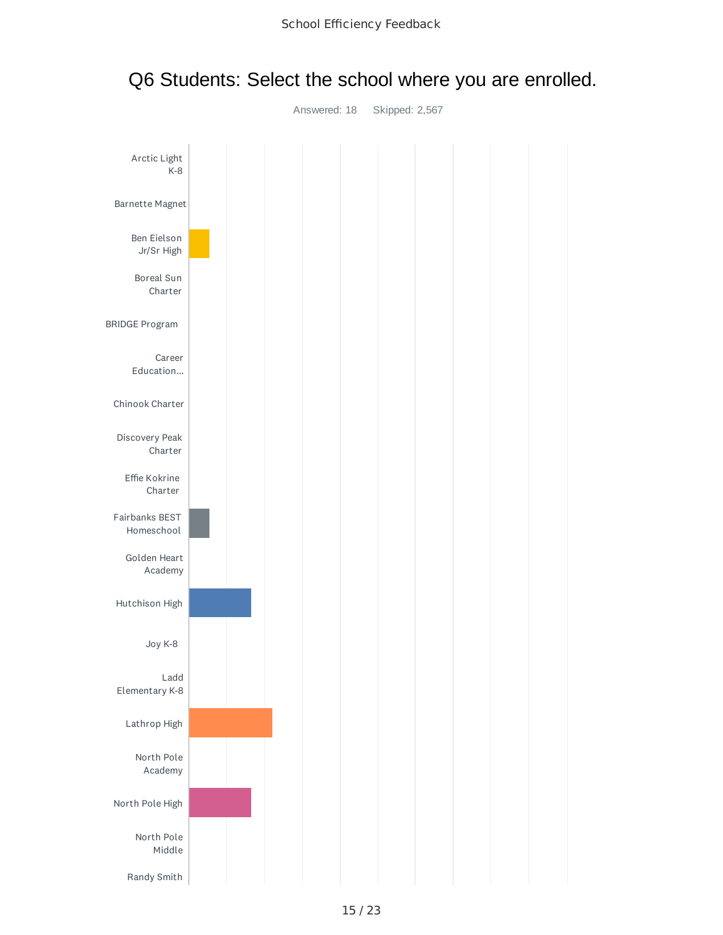

### Q6 Students: Select the school where you are enrolled.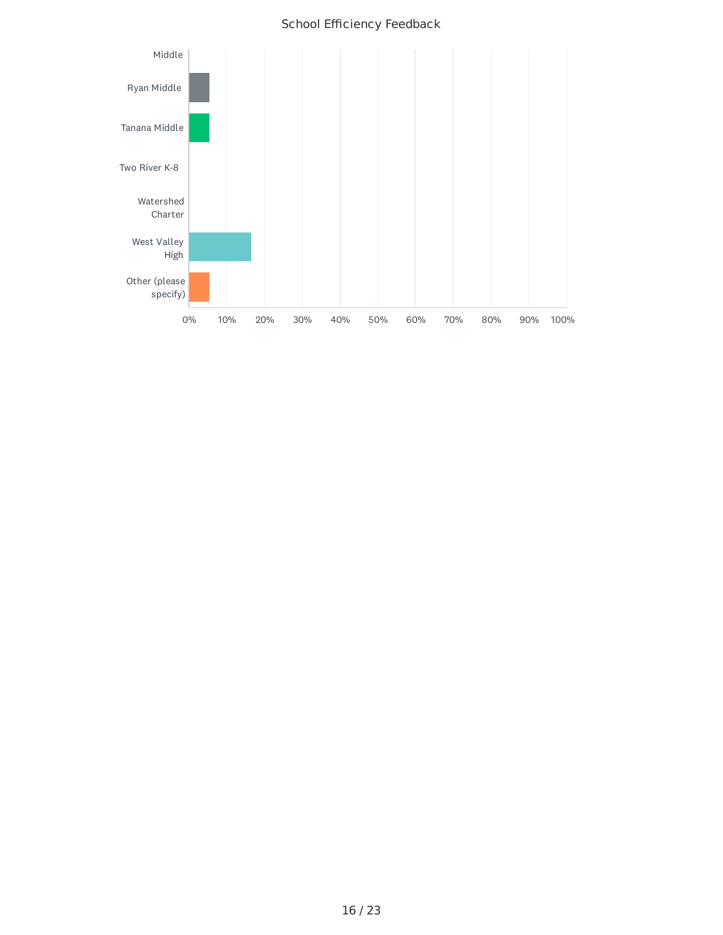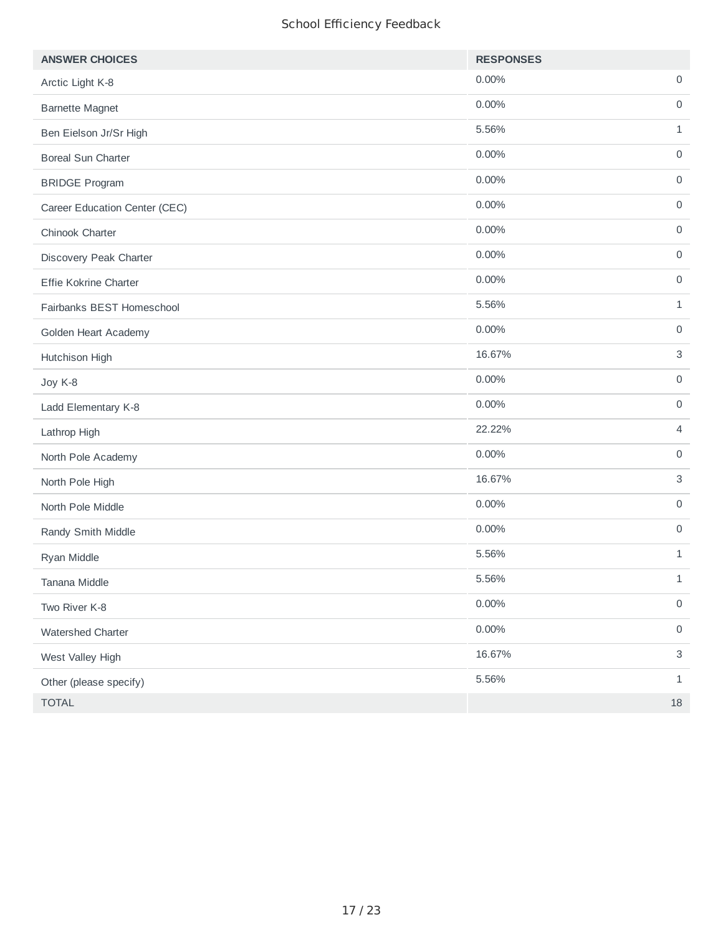| <b>ANSWER CHOICES</b>         | <b>RESPONSES</b> |                           |
|-------------------------------|------------------|---------------------------|
| Arctic Light K-8              | 0.00%            | $\mathbf 0$               |
| <b>Barnette Magnet</b>        | 0.00%            | $\mathsf O$               |
| Ben Eielson Jr/Sr High        | 5.56%            | $\mathbf{1}$              |
| <b>Boreal Sun Charter</b>     | 0.00%            | $\mathbf 0$               |
| <b>BRIDGE Program</b>         | 0.00%            | $\mathsf O$               |
| Career Education Center (CEC) | 0.00%            | $\mathsf{O}\xspace$       |
| Chinook Charter               | 0.00%            | $\mathsf{O}\xspace$       |
| Discovery Peak Charter        | 0.00%            | $\mathbf 0$               |
| Effie Kokrine Charter         | 0.00%            | $\mathsf{O}$              |
| Fairbanks BEST Homeschool     | 5.56%            | $\mathbf{1}$              |
| Golden Heart Academy          | 0.00%            | $\mathsf{O}$              |
| Hutchison High                | 16.67%           | $\sqrt{3}$                |
| Joy K-8                       | 0.00%            | $\mathsf{O}$              |
| Ladd Elementary K-8           | 0.00%            | $\mathbf 0$               |
| Lathrop High                  | 22.22%           | $\overline{4}$            |
| North Pole Academy            | 0.00%            | $\mathbf 0$               |
| North Pole High               | 16.67%           | $\ensuremath{\mathsf{3}}$ |
| North Pole Middle             | 0.00%            | $\mathbf 0$               |
| Randy Smith Middle            | 0.00%            | $\mathsf{O}$              |
| Ryan Middle                   | 5.56%            | $\mathbf{1}$              |
| Tanana Middle                 | 5.56%            | $1\,$                     |
| Two River K-8                 | 0.00%            | $\mathsf{O}\xspace$       |
| Watershed Charter             | 0.00%            | $\mathsf{O}\xspace$       |
| West Valley High              | 16.67%           | $\mathbf{3}$              |
| Other (please specify)        | 5.56%            | $\mathbf{1}$              |
| TOTAL                         |                  | $18\,$                    |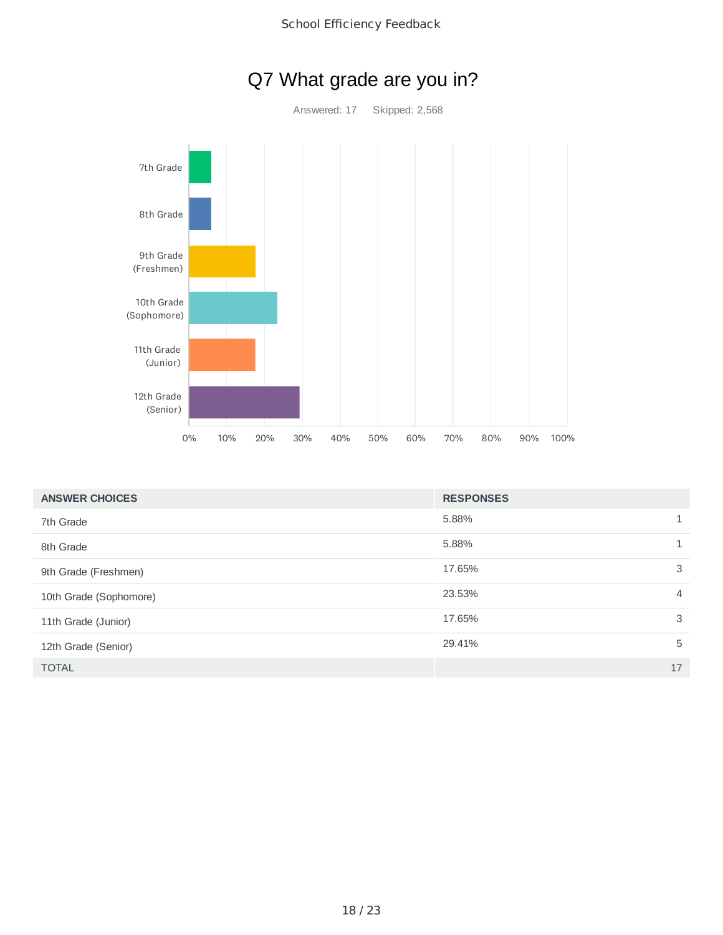

| <b>ANSWER CHOICES</b>  | <b>RESPONSES</b> |                |
|------------------------|------------------|----------------|
| 7th Grade              | 5.88%            | 1              |
| 8th Grade              | 5.88%            | 1              |
| 9th Grade (Freshmen)   | 17.65%           | 3              |
| 10th Grade (Sophomore) | 23.53%           | $\overline{4}$ |
| 11th Grade (Junior)    | 17.65%           | $\mathbf{3}$   |
| 12th Grade (Senior)    | 29.41%           | 5              |
| <b>TOTAL</b>           |                  | 17             |

## Q7 What grade are you in?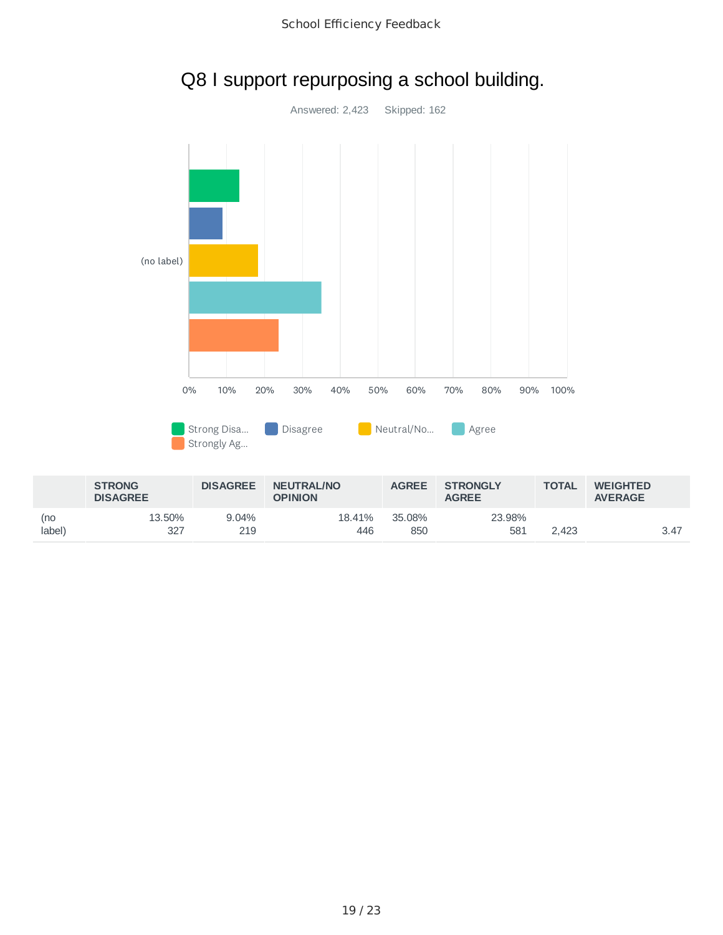

18.41% 446 35.08% 850 23.98%

581 2,423 3.47

13.50% 327

(no label) 9.04% 219

#### School Efficiency Feedback

Q8 I support repurposing a school building.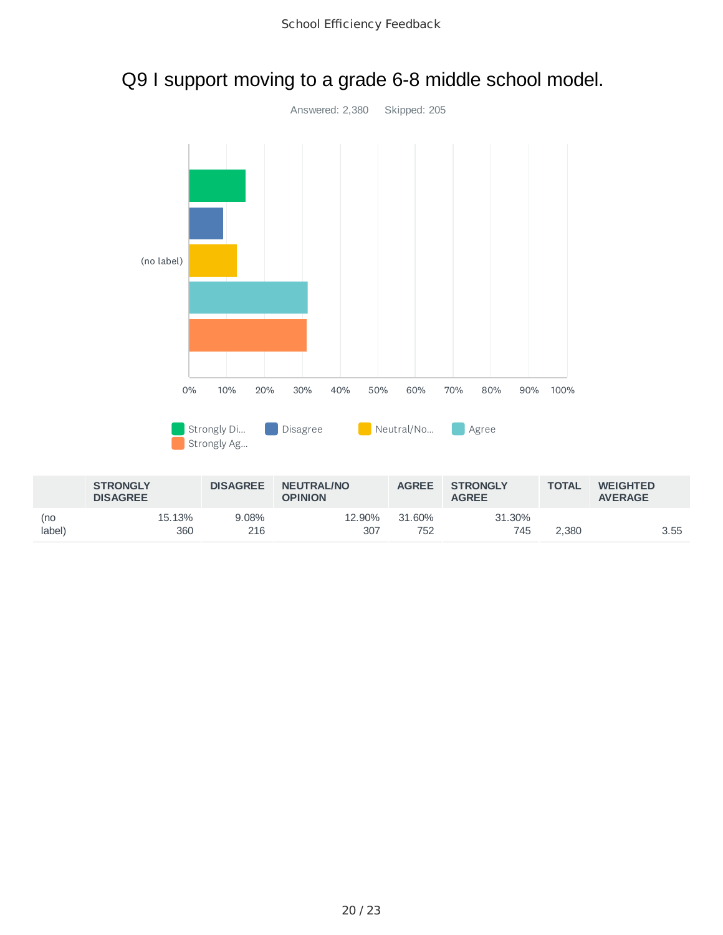



### Q9 I support moving to a grade 6-8 middle school model.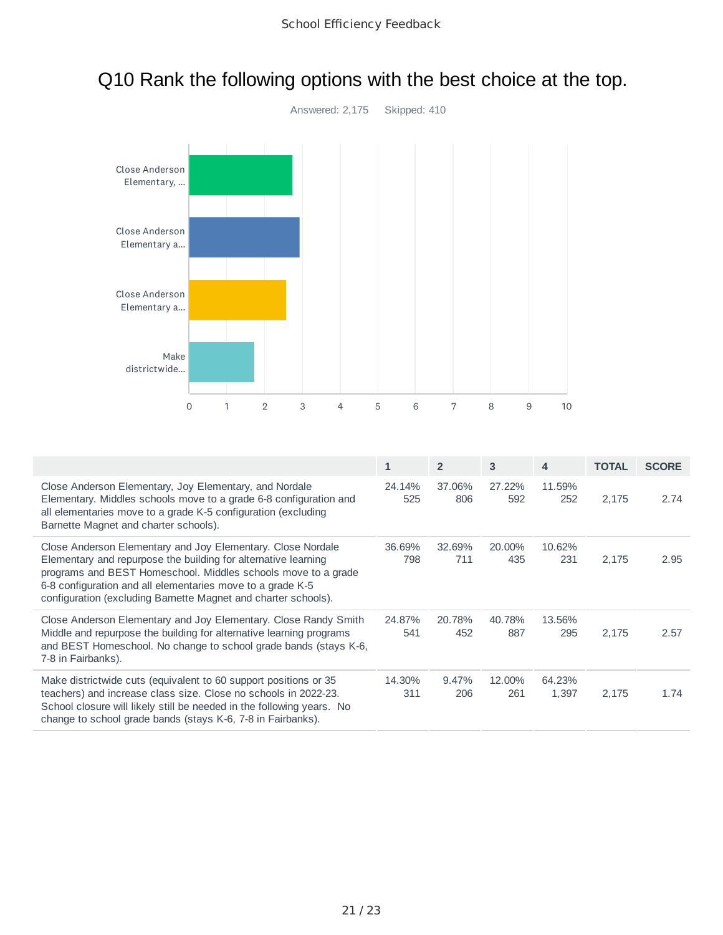

# Q10 Rank the following options with the best choice at the top.

|                                                                                                                                                                                                                                                                                                                                | $\mathbf{1}$  | $\overline{2}$ | 3             | 4               | <b>TOTAL</b> | <b>SCORE</b> |
|--------------------------------------------------------------------------------------------------------------------------------------------------------------------------------------------------------------------------------------------------------------------------------------------------------------------------------|---------------|----------------|---------------|-----------------|--------------|--------------|
| Close Anderson Elementary, Joy Elementary, and Nordale<br>Elementary. Middles schools move to a grade 6-8 configuration and<br>all elementaries move to a grade K-5 configuration (excluding<br>Barnette Magnet and charter schools).                                                                                          | 24.14%<br>525 | 37.06%<br>806  | 27.22%<br>592 | 11.59%<br>252   | 2,175        | 2.74         |
| Close Anderson Elementary and Joy Elementary. Close Nordale<br>Elementary and repurpose the building for alternative learning<br>programs and BEST Homeschool. Middles schools move to a grade<br>6-8 configuration and all elementaries move to a grade K-5<br>configuration (excluding Barnette Magnet and charter schools). | 36.69%<br>798 | 32.69%<br>711  | 20.00%<br>435 | 10.62%<br>231   | 2,175        | 2.95         |
| Close Anderson Elementary and Joy Elementary. Close Randy Smith<br>Middle and repurpose the building for alternative learning programs<br>and BEST Homeschool. No change to school grade bands (stays K-6,<br>7-8 in Fairbanks).                                                                                               | 24.87%<br>541 | 20.78%<br>452  | 40.78%<br>887 | 13.56%<br>295   | 2,175        | 2.57         |
| Make districtwide cuts (equivalent to 60 support positions or 35<br>teachers) and increase class size. Close no schools in 2022-23.<br>School closure will likely still be needed in the following years. No<br>change to school grade bands (stays K-6, 7-8 in Fairbanks).                                                    | 14.30%<br>311 | 9.47%<br>206   | 12.00%<br>261 | 64.23%<br>1,397 | 2,175        | 1.74         |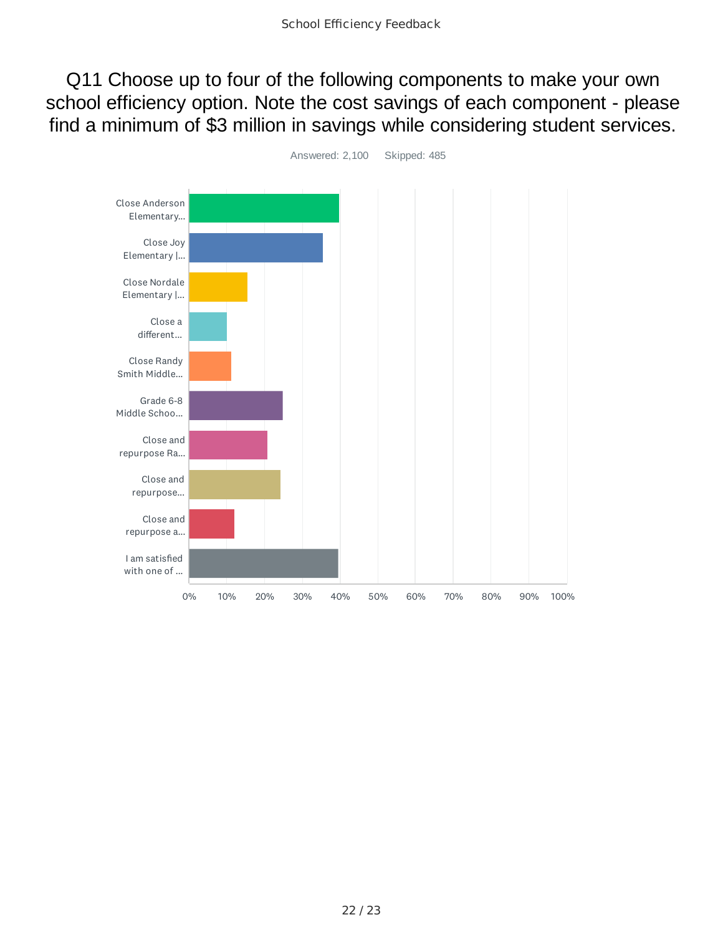Q11 Choose up to four of the following components to make your own school efficiency option. Note the cost savings of each component - please find a minimum of \$3 million in savings while considering student services.



22 / 23